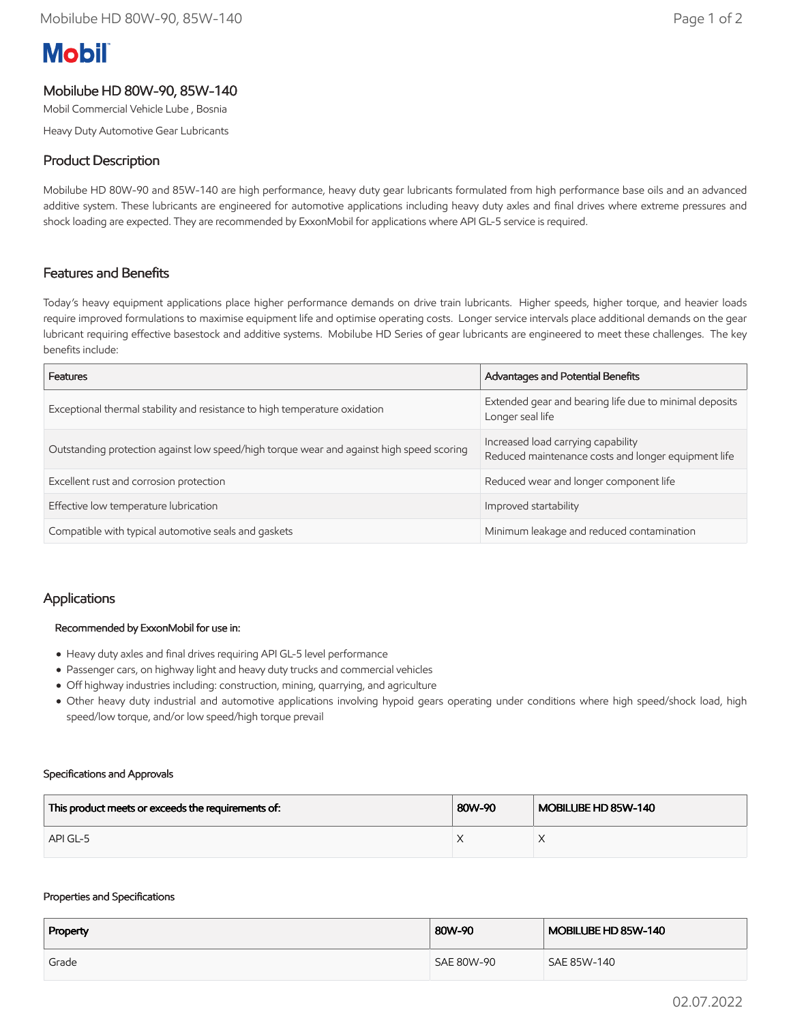# **Mobil**

# Mobilube HD 80W-90, 85W-140

Mobil Commercial Vehicle Lube , Bosnia

Heavy Duty Automotive Gear Lubricants

## Product Description

Mobilube HD 80W-90 and 85W-140 are high performance, heavy duty gear lubricants formulated from high performance base oils and an advanced additive system. These lubricants are engineered for automotive applications including heavy duty axles and final drives where extreme pressures and shock loading are expected. They are recommended by ExxonMobil for applications where API GL-5 service is required.

## Features and Benefits

Today's heavy equipment applications place higher performance demands on drive train lubricants. Higher speeds, higher torque, and heavier loads require improved formulations to maximise equipment life and optimise operating costs. Longer service intervals place additional demands on the gear lubricant requiring effective basestock and additive systems. Mobilube HD Series of gear lubricants are engineered to meet these challenges. The key benefits include:

| Features                                                                                 | Advantages and Potential Benefits                                                         |  |
|------------------------------------------------------------------------------------------|-------------------------------------------------------------------------------------------|--|
| Exceptional thermal stability and resistance to high temperature oxidation               | Extended gear and bearing life due to minimal deposits<br>Longer seal life                |  |
| Outstanding protection against low speed/high torque wear and against high speed scoring | Increased load carrying capability<br>Reduced maintenance costs and longer equipment life |  |
| Excellent rust and corrosion protection                                                  | Reduced wear and longer component life                                                    |  |
| Effective low temperature lubrication                                                    | Improved startability                                                                     |  |
| Compatible with typical automotive seals and gaskets                                     | Minimum leakage and reduced contamination                                                 |  |

## Applications

#### Recommended by ExxonMobil for use in:

- Heavy duty axles and final drives requiring API GL-5 level performance
- Passenger cars, on highway light and heavy duty trucks and commercial vehicles
- Off highway industries including: construction, mining, quarrying, and agriculture
- Other heavy duty industrial and automotive applications involving hypoid gears operating under conditions where high speed/shock load, high speed/low torque, and/or low speed/high torque prevail

#### Specifications and Approvals

| This product meets or exceeds the requirements of: | 80W-90 | MOBILUBE HD 85W-140 |
|----------------------------------------------------|--------|---------------------|
| API GL-5                                           |        |                     |

#### Properties and Specifications

| Property | 80W-90     | MOBILUBE HD 85W-140 |
|----------|------------|---------------------|
| Grade    | SAE 80W-90 | SAE 85W-140         |